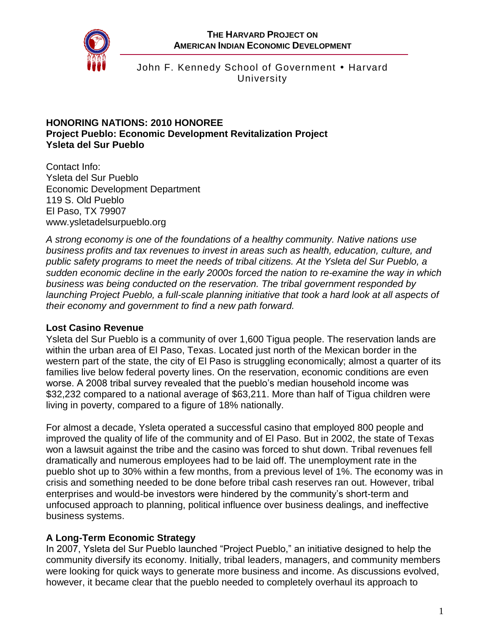

John F. Kennedy School of Government • Harvard **University** 

#### **HONORING NATIONS: 2010 HONOREE Project Pueblo: Economic Development Revitalization Project Ysleta del Sur Pueblo**

Contact Info: Ysleta del Sur Pueblo Economic Development Department 119 S. Old Pueblo El Paso, TX 79907 [www.ysletadelsurpueblo.org](http://www.ysletadelsurpueblo.org/)

*A strong economy is one of the foundations of a healthy community. Native nations use business profits and tax revenues to invest in areas such as health, education, culture, and public safety programs to meet the needs of tribal citizens. At the Ysleta del Sur Pueblo, a sudden economic decline in the early 2000s forced the nation to re-examine the way in which business was being conducted on the reservation. The tribal government responded by launching Project Pueblo, a full-scale planning initiative that took a hard look at all aspects of their economy and government to find a new path forward.*

### **Lost Casino Revenue**

Ysleta del Sur Pueblo is a community of over 1,600 Tigua people. The reservation lands are within the urban area of El Paso, Texas. Located just north of the Mexican border in the western part of the state, the city of El Paso is struggling economically; almost a quarter of its families live below federal poverty lines. On the reservation, economic conditions are even worse. A 2008 tribal survey revealed that the pueblo's median household income was \$32,232 compared to a national average of \$63,211. More than half of Tigua children were living in poverty, compared to a figure of 18% nationally.

For almost a decade, Ysleta operated a successful casino that employed 800 people and improved the quality of life of the community and of El Paso. But in 2002, the state of Texas won a lawsuit against the tribe and the casino was forced to shut down. Tribal revenues fell dramatically and numerous employees had to be laid off. The unemployment rate in the pueblo shot up to 30% within a few months, from a previous level of 1%. The economy was in crisis and something needed to be done before tribal cash reserves ran out. However, tribal enterprises and would-be investors were hindered by the community's short-term and unfocused approach to planning, political influence over business dealings, and ineffective business systems.

# **A Long-Term Economic Strategy**

In 2007, Ysleta del Sur Pueblo launched "Project Pueblo," an initiative designed to help the community diversify its economy. Initially, tribal leaders, managers, and community members were looking for quick ways to generate more business and income. As discussions evolved, however, it became clear that the pueblo needed to completely overhaul its approach to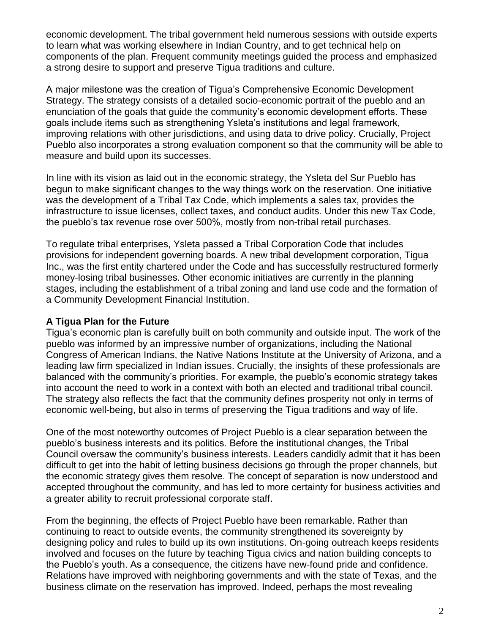economic development. The tribal government held numerous sessions with outside experts to learn what was working elsewhere in Indian Country, and to get technical help on components of the plan. Frequent community meetings guided the process and emphasized a strong desire to support and preserve Tigua traditions and culture.

A major milestone was the creation of Tigua's Comprehensive Economic Development Strategy. The strategy consists of a detailed socio-economic portrait of the pueblo and an enunciation of the goals that guide the community's economic development efforts. These goals include items such as strengthening Ysleta's institutions and legal framework, improving relations with other jurisdictions, and using data to drive policy. Crucially, Project Pueblo also incorporates a strong evaluation component so that the community will be able to measure and build upon its successes.

In line with its vision as laid out in the economic strategy, the Ysleta del Sur Pueblo has begun to make significant changes to the way things work on the reservation. One initiative was the development of a Tribal Tax Code, which implements a sales tax, provides the infrastructure to issue licenses, collect taxes, and conduct audits. Under this new Tax Code, the pueblo's tax revenue rose over 500%, mostly from non-tribal retail purchases.

To regulate tribal enterprises, Ysleta passed a Tribal Corporation Code that includes provisions for independent governing boards. A new tribal development corporation, Tigua Inc., was the first entity chartered under the Code and has successfully restructured formerly money-losing tribal businesses. Other economic initiatives are currently in the planning stages, including the establishment of a tribal zoning and land use code and the formation of a Community Development Financial Institution.

### **A Tigua Plan for the Future**

Tigua's economic plan is carefully built on both community and outside input. The work of the pueblo was informed by an impressive number of organizations, including the National Congress of American Indians, the Native Nations Institute at the University of Arizona, and a leading law firm specialized in Indian issues. Crucially, the insights of these professionals are balanced with the community's priorities. For example, the pueblo's economic strategy takes into account the need to work in a context with both an elected and traditional tribal council. The strategy also reflects the fact that the community defines prosperity not only in terms of economic well-being, but also in terms of preserving the Tigua traditions and way of life.

One of the most noteworthy outcomes of Project Pueblo is a clear separation between the pueblo's business interests and its politics. Before the institutional changes, the Tribal Council oversaw the community's business interests. Leaders candidly admit that it has been difficult to get into the habit of letting business decisions go through the proper channels, but the economic strategy gives them resolve. The concept of separation is now understood and accepted throughout the community, and has led to more certainty for business activities and a greater ability to recruit professional corporate staff.

From the beginning, the effects of Project Pueblo have been remarkable. Rather than continuing to react to outside events, the community strengthened its sovereignty by designing policy and rules to build up its own institutions. On-going outreach keeps residents involved and focuses on the future by teaching Tigua civics and nation building concepts to the Pueblo's youth. As a consequence, the citizens have new-found pride and confidence. Relations have improved with neighboring governments and with the state of Texas, and the business climate on the reservation has improved. Indeed, perhaps the most revealing